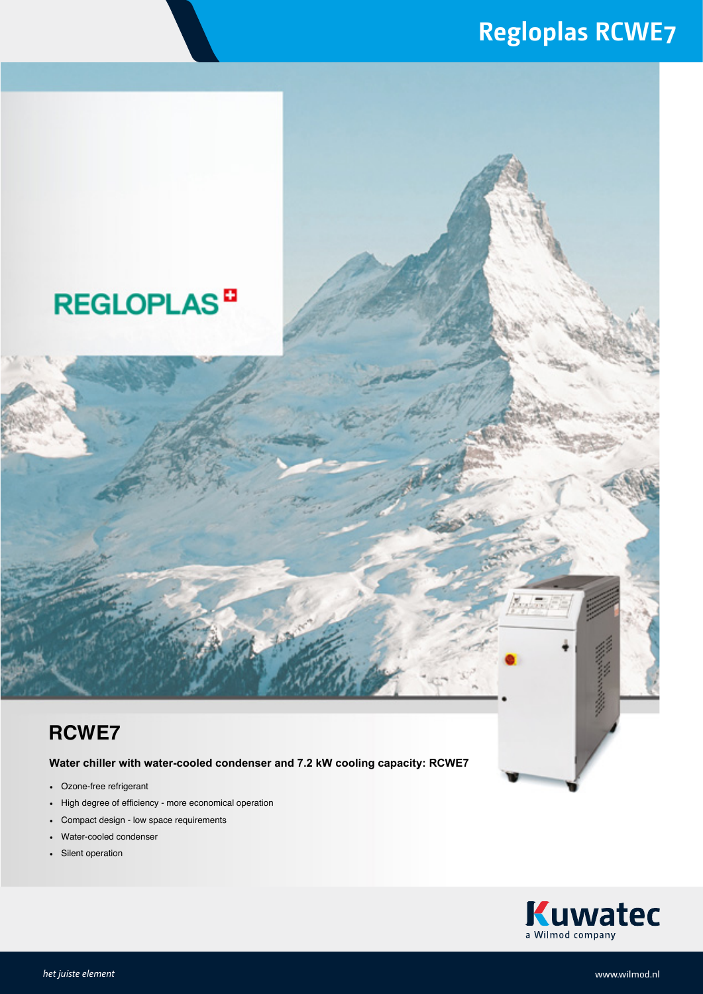## **Regloplas RCWE7**



## **RCWE7**

**Water chiller with water-cooled condenser and 7.2 kW cooling capacity: RCWE7**

- Ozone-free refrigerant
- High degree of efficiency more economical operation
- Compact design low space requirements
- Water-cooled condenser
- Silent operation